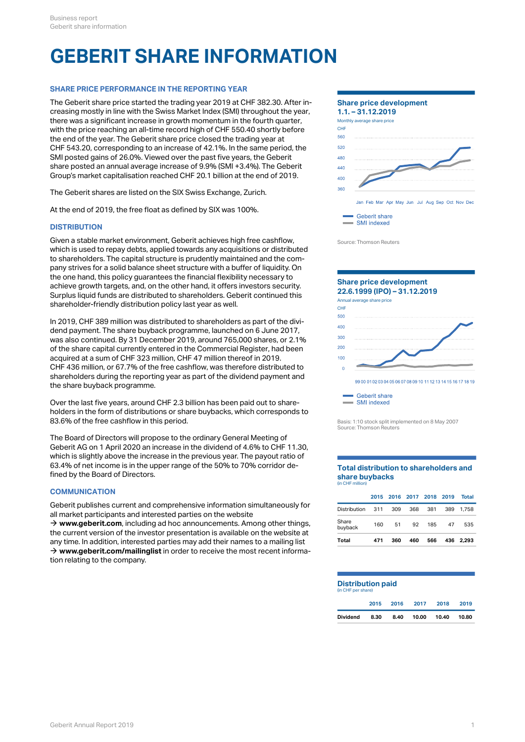# **GEBERIT SHARE INFORMATION**

# **SHARE PRICE PERFORMANCE IN THE REPORTING YEAR**

The Geberit share price started the trading year 2019 at CHF 382.30. After increasing mostly in line with the Swiss Market Index (SMI) throughout the year, there was a significant increase in growth momentum in the fourth quarter, with the price reaching an all-time record high of CHF 550.40 shortly before the end of the year. The Geberit share price closed the trading year at CHF 543.20, corresponding to an increase of 42.1%. In the same period, the SMI posted gains of 26.0%. Viewed over the past five years, the Geberit share posted an annual average increase of 9.9% (SMI +3.4%). The Geberit Group's market capitalisation reached CHF 20.1 billion at the end of 2019.

The Geberit shares are listed on the SIX Swiss Exchange, Zurich.

At the end of 2019, the free float as defined by SIX was 100%.

## **DISTRIBUTION**

Given a stable market environment, Geberit achieves high free cashflow, which is used to repay debts, applied towards any acquisitions or distributed to shareholders. The capital structure is prudently maintained and the company strives for a solid balance sheet structure with a buffer of liquidity. On the one hand, this policy guarantees the financial flexibility necessary to achieve growth targets, and, on the other hand, it offers investors security. Surplus liquid funds are distributed to shareholders. Geberit continued this shareholder-friendly distribution policy last year as well.

In 2019, CHF 389 million was distributed to shareholders as part of the dividend payment. The share buyback programme, launched on 6 June 2017, was also continued. By 31 December 2019, around 765,000 shares, or 2.1% of the share capital currently entered in the Commercial Register, had been acquired at a sum of CHF 323 million, CHF 47 million thereof in 2019. CHF 436 million, or 67.7% of the free cashflow, was therefore distributed to shareholders during the reporting year as part of the dividend payment and the share buyback programme.

Over the last five years, around CHF 2.3 billion has been paid out to shareholders in the form of distributions or share buybacks, which corresponds to 83.6% of the free cashflow in this period.

The Board of Directors will propose to the ordinary General Meeting of Geberit AG on 1 April 2020 an increase in the dividend of 4.6% to CHF 11.30, which is slightly above the increase in the previous year. The payout ratio of 63.4% of net income is in the upper range of the 50% to 70% corridor defined by the Board of Directors.

## **COMMUNICATION**

Geberit publishes current and comprehensive information simultaneously for all market participants and interested parties on the website

 $\rightarrow$  [www.geberit.com](http://www.geberit.com/en/index.html), including ad hoc announcements. Among other things, the current version of the investor presentation is available on the website at any time. In addition, interested parties may add their names to a mailing list  $\rightarrow$  [www.geberit.com/mailinglist](https://www.geberit.com/media/services/mailing-list/) in order to receive the most recent information relating to the company.



Geberit share SMI indexed

Source: Thomson Reuters



SMI indexed

Basis: 1:10 stock split implemented on 8 May 2007 Source: Thomson Reuters

#### **Total distribution to shareholders and share buybacks** (in CHF million)

| Total            | 471 | 360 | 460                      | 566 | 436 | 2.293        |
|------------------|-----|-----|--------------------------|-----|-----|--------------|
| Share<br>buyback | 160 | 51  | 92                       | 185 | 47  | 535          |
| Distribution     | 311 | 309 | 368                      | 381 | 389 | 1.758        |
|                  |     |     | 2015 2016 2017 2018 2019 |     |     | <b>Total</b> |

#### **Distribution paid** (in CHF per share)

|          |      |      | 2015 2016 2017 2018 |             | 2019  |
|----------|------|------|---------------------|-------------|-------|
| Dividend | 8.30 | 8.40 |                     | 10.00 10.40 | 10.80 |